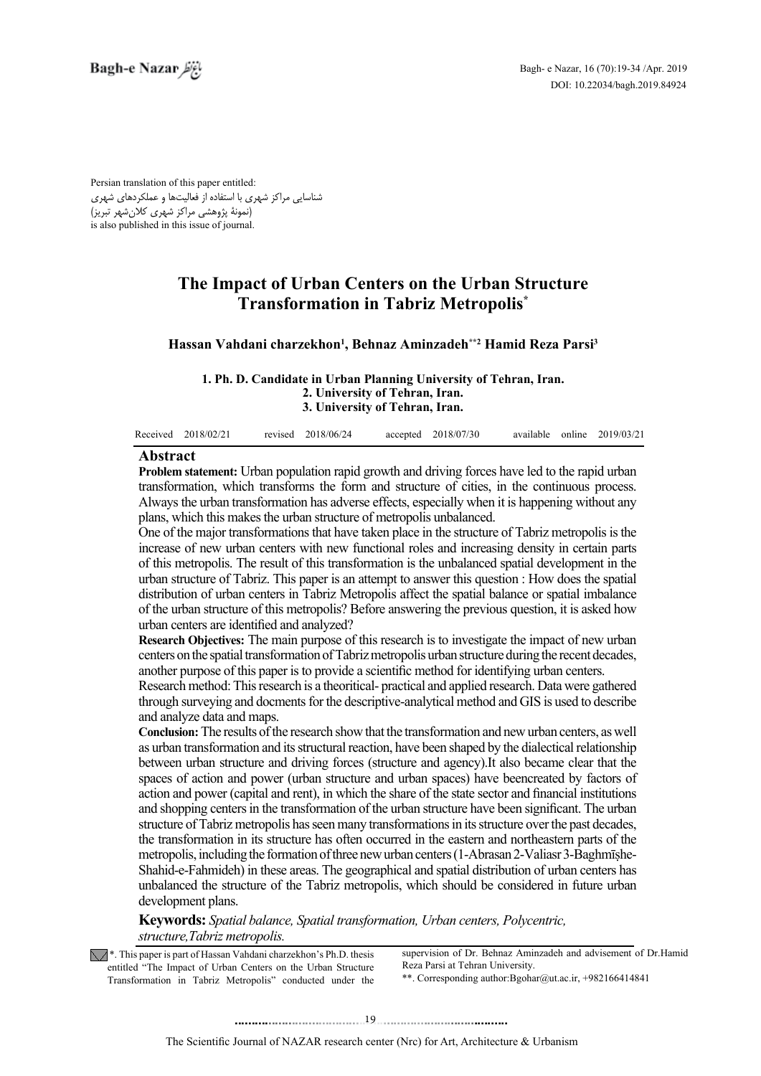Persian translation of this paper entitled: شناسایی مراکز شهری با استفاده از فعالیتها و عملکردهای شهری .<br>رنمونۀ پژوهشی مراکز شهری کلانشهر تبریز) is also published in this issue of journal.

# **The Impact of Urban Centers on the Urban Structure Transformation in Tabriz Metropolis<sup>\*</sup>**

## Hassan Vahdani charzekhon<sup>1</sup>, Behnaz Aminzadeh\*\*<sup>2</sup> Hamid Reza Parsi<sup>3</sup>

1. Ph. D. Candidate in Urban Planning University of Tehran, Iran. **2. University of Tehran, Iran. 3. University of Tehran, Iran.** 

|  | Received 2018/02/21 |  | revised 2018/06/24 |  | accepted 2018/07/30 |  |  | available online 2019/03/21 |
|--|---------------------|--|--------------------|--|---------------------|--|--|-----------------------------|
|--|---------------------|--|--------------------|--|---------------------|--|--|-----------------------------|

# **Abstract**

**Problem statement:** Urban population rapid growth and driving forces have led to the rapid urban transformation, which transforms the form and structure of cities, in the continuous process. Always the urban transformation has adverse effects, especially when it is happening without any plans, which this makes the urban structure of metropolis unbalanced.

One of the major transformations that have taken place in the structure of Tabriz metropolis is the increase of new urban centers with new functional roles and increasing density in certain parts of this metropolis. The result of this transformation is the unbalanced spatial development in the urban structure of Tabriz. This paper is an attempt to answer this question : How does the spatial distribution of urban centers in Tabriz Metropolis affect the spatial balance or spatial imbalance of the urban structure of this metropolis? Before answering the previous question, it is asked how urban centers are identified and analyzed?

**Research Objectives:** The main purpose of this research is to investigate the impact of new urban centers on the spatial transformation of Tabriz metropolis urban structure during the recent decades, another purpose of this paper is to provide a scientific method for identifying urban centers.

Research method: This research is a theoritical- practical and applied research. Data were gathered through surveying and docments for the descriptive-analytical method and GIS is used to describe and analyze data and maps.

**Conclusion:** The results of the research show that the transformation and new urban centers, as well as urban transformation and its structural reaction, have been shaped by the dialectical relationship between urban structure and driving forces (structure and agency). It also became clear that the spaces of action and power (urban structure and urban spaces) have beencreated by factors of action and power (capital and rent), in which the share of the state sector and financial institutions and shopping centers in the transformation of the urban structure have been significant. The urban structure of Tabriz metropolis has seen many transformations in its structure over the past decades. the transformation in its structure has often occurred in the eastern and northeastern parts of the Shahid-e-Fahmideh) in these areas. The geographical and spatial distribution of urban centers has metropolis, including the formation of three new urban centers (1-Abrasan 2-Valiasr 3-Baghmīsheunbalanced the structure of the Tabriz metropolis, which should be considered in future urban development plans.

**Keywords:** *Spatial balance, Spatial transformation, Urban centers, Polycentric, structure, Tabriz metropolis.* 

 $\sqrt{\phantom{x}}$ . This paper is part of Hassan Vahdani charzekhon's Ph.D. thesis entitled "The Impact of Urban Centers on the Urban Structure Transformation in Tabriz Metropolis" conducted under the

supervision of Dr. Behnaz Aminzadeh and advisement of Dr. Hamid Reza Parsi at Tehran University. \*\*. Corresponding author: Bgohar@ut.ac.ir, +982166414841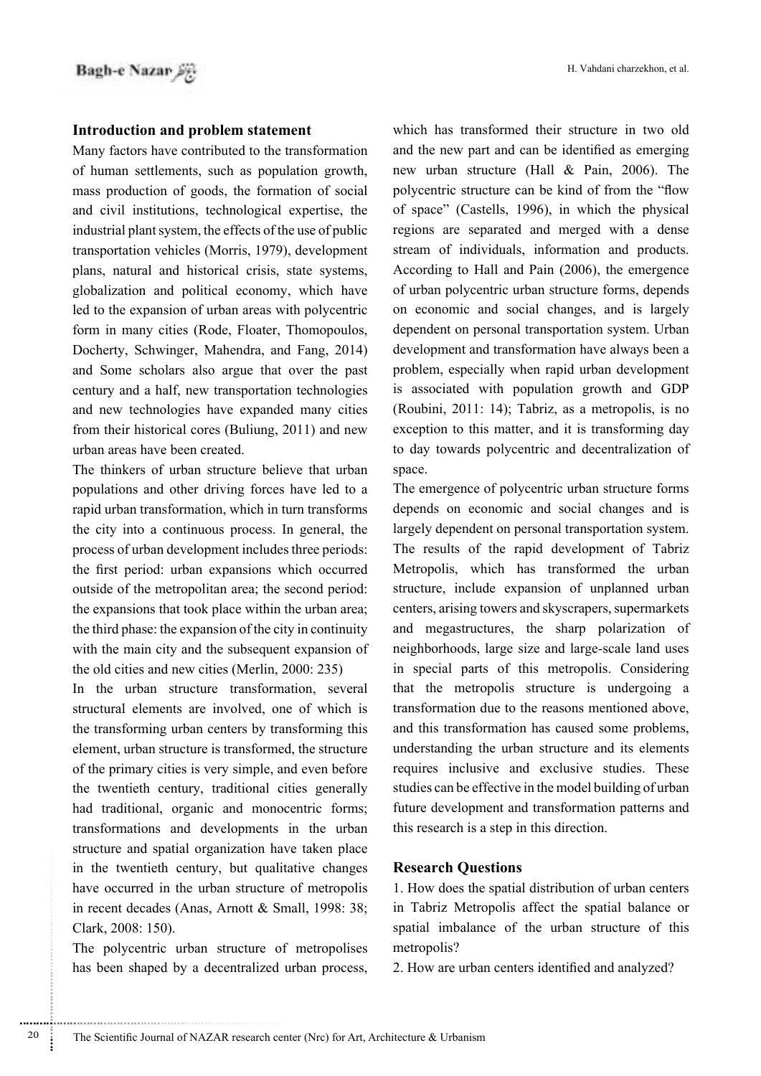## **Introduction and problem statement**

Many factors have contributed to the transformation of human settlements, such as population growth, mass production of goods, the formation of social and civil institutions, technological expertise, the industrial plant system, the effects of the use of public transportation vehicles (Morris, 1979), development plans, natural and historical crisis, state systems, globalization and political economy, which have led to the expansion of urban areas with polycentric form in many cities (Rode, Floater, Thomopoulos, Docherty, Schwinger, Mahendra, and Fang, 2014) and Some scholars also argue that over the past century and a half, new transportation technologies and new technologies have expanded many cities from their historical cores (Buliung,  $2011$ ) and new urban areas have been created.

The thinkers of urban structure believe that urban populations and other driving forces have led to a rapid urban transformation, which in turn transforms the city into a continuous process. In general, the process of urban development includes three periods: the first period: urban expansions which occurred outside of the metropolitan area; the second period: the expansions that took place within the urban area: the third phase: the expansion of the city in continuity with the main city and the subsequent expansion of the old cities and new cities (Merlin,  $2000: 235$ )

In the urban structure transformation, several structural elements are involved, one of which is the transforming urban centers by transforming this element, urban structure is transformed, the structure of the primary cities is very simple, and even before the twentieth century, traditional cities generally had traditional, organic and monocentric forms; transformations and developments in the urban structure and spatial organization have taken place in the twentieth century, but qualitative changes have occurred in the urban structure of metropolis in recent decades (Anas, Arnott  $& Small, 1998: 38;$ Clark, 2008: 150).

The polycentric urban structure of metropolises has been shaped by a decentralized urban process,

which has transformed their structure in two old and the new part and can be identified as emerging new urban structure (Hall  $& Pain, 2006$ ). The polycentric structure can be kind of from the "flow of space" (Castells, 1996), in which the physical regions are separated and merged with a dense stream of individuals, information and products. According to Hall and Pain (2006), the emergence of urban polycentric urban structure forms, depends on economic and social changes, and is largely dependent on personal transportation system. Urban development and transformation have always been a problem, especially when rapid urban development is associated with population growth and GDP (Roubini, 2011: 14); Tabriz, as a metropolis, is no exception to this matter, and it is transforming day to day towards polycentric and decentralization of space.

The emergence of polycentric urban structure forms depends on economic and social changes and is largely dependent on personal transportation system. The results of the rapid development of Tabriz Metropolis, which has transformed the urban structure, include expansion of unplanned urban centers, arising towers and skyscrapers, supermarkets and megastructures, the sharp polarization of neighborhoods, large size and large-scale land uses in special parts of this metropolis. Considering that the metropolis structure is undergoing a transformation due to the reasons mentioned above. and this transformation has caused some problems, understanding the urban structure and its elements requires inclusive and exclusive studies. These studies can be effective in the model building of urban future development and transformation patterns and this research is a step in this direction.

### **Research Questions**

1. How does the spatial distribution of urban centers in Tabriz Metropolis affect the spatial balance or spatial imbalance of the urban structure of this metropolis?

2. How are urban centers identified and analyzed?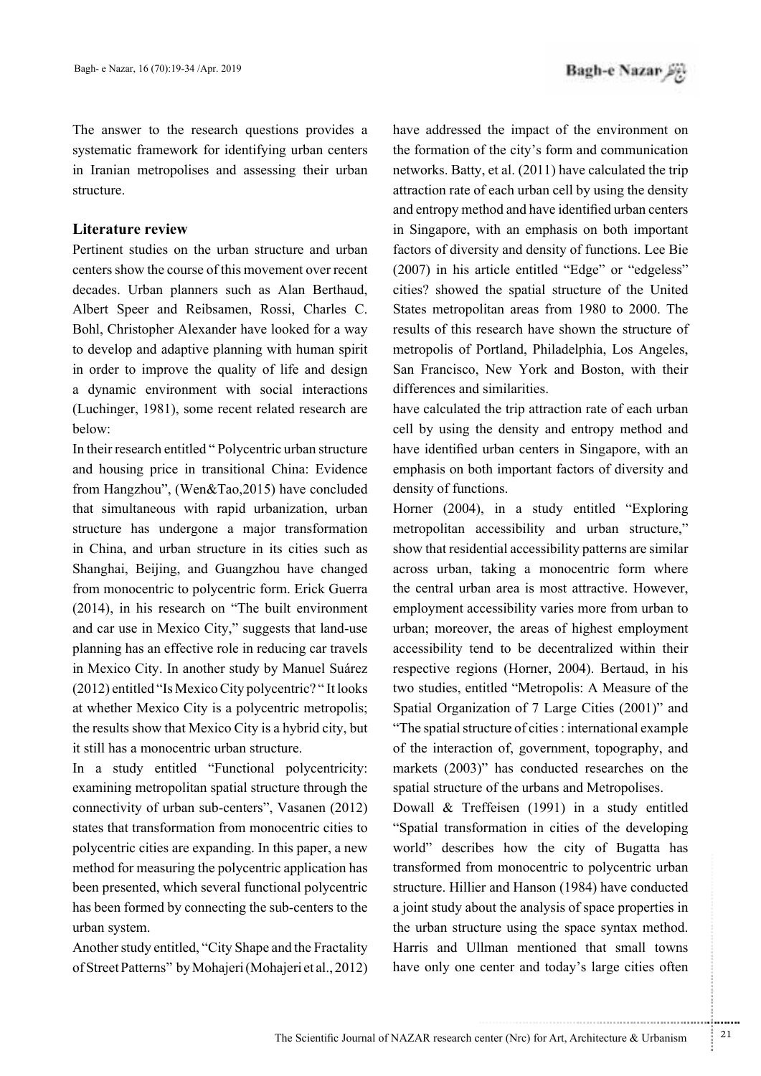The answer to the research questions provides a systematic framework for identifying urban centers in Iranian metropolises and assessing their urban .structure

### **Literature** review

Pertinent studies on the urban structure and urban centers show the course of this movement over recent decades. Urban planners such as Alan Berthaud, Albert Speer and Reibsamen, Rossi, Charles C. Bohl, Christopher Alexander have looked for a way to develop and adaptive planning with human spirit in order to improve the quality of life and design a dynamic environment with social interactions (Luchinger, 1981), some recent related research are below:

In their research entitled " Polycentric urban structure and housing price in transitional China: Evidence from Hangzhou", (Wen $&Tao,2015$ ) have concluded that simultaneous with rapid urbanization, urban structure has undergone a major transformation in China, and urban structure in its cities such as Shanghai, Beijing, and Guangzhou have changed from monocentric to polycentric form. Erick Guerra  $(2014)$ , in his research on "The built environment" and car use in Mexico City," suggests that land-use planning has an effective role in reducing car travels in Mexico City. In another study by Manuel Suárez  $(2012)$  entitled "Is Mexico City polycentric?" It looks at whether Mexico City is a polycentric metropolis; the results show that Mexico City is a hybrid city, but it still has a monocentric urban structure.

In a study entitled "Functional polycentricity: examining metropolitan spatial structure through the connectivity of urban sub-centers", Vasanen  $(2012)$ states that transformation from monocentric cities to polycentric cities are expanding. In this paper, a new method for measuring the polycentric application has been presented, which several functional polycentric has been formed by connecting the sub-centers to the urban system.

Another study entitled, "City Shape and the Fractality of Street Patterns" by Mohajeri (Mohajeri et al., 2012) have addressed the impact of the environment on the formation of the city's form and communication networks. Batty, et al.  $(2011)$  have calculated the trip attraction rate of each urban cell by using the density and entropy method and have identified urban centers in Singapore, with an emphasis on both important factors of diversity and density of functions. Lee Bie  $(2007)$  in his article entitled "Edge" or "edgeless" cities? showed the spatial structure of the United States metropolitan areas from 1980 to 2000. The results of this research have shown the structure of metropolis of Portland, Philadelphia, Los Angeles, San Francisco, New York and Boston, with their differences and similarities.

have calculated the trip attraction rate of each urban cell by using the density and entropy method and have identified urban centers in Singapore, with an emphasis on both important factors of diversity and density of functions.

Horner  $(2004)$ , in a study entitled "Exploring" metropolitan accessibility and urban structure," show that residential accessibility patterns are similar across urban, taking a monocentric form where the central urban area is most attractive. However, employment accessibility varies more from urban to urban; moreover, the areas of highest employment accessibility tend to be decentralized within their respective regions (Horner, 2004). Bertaud, in his two studies, entitled "Metropolis: A Measure of the Spatial Organization of  $7$  Large Cities  $(2001)$ " and "The spatial structure of cities : international example of the interaction of, government, topography, and markets  $(2003)$ " has conducted researches on the spatial structure of the urbans and Metropolises.

Dowall  $&$  Treffeisen (1991) in a study entitled "Spatial transformation in cities of the developing world" describes how the city of Bugatta has transformed from monocentric to polycentric urban structure. Hillier and Hanson (1984) have conducted a joint study about the analysis of space properties in the urban structure using the space syntax method. Harris and Ullman mentioned that small towns have only one center and today's large cities often

.......... ....... ........ ........... ...... ....... ........ .......... ...........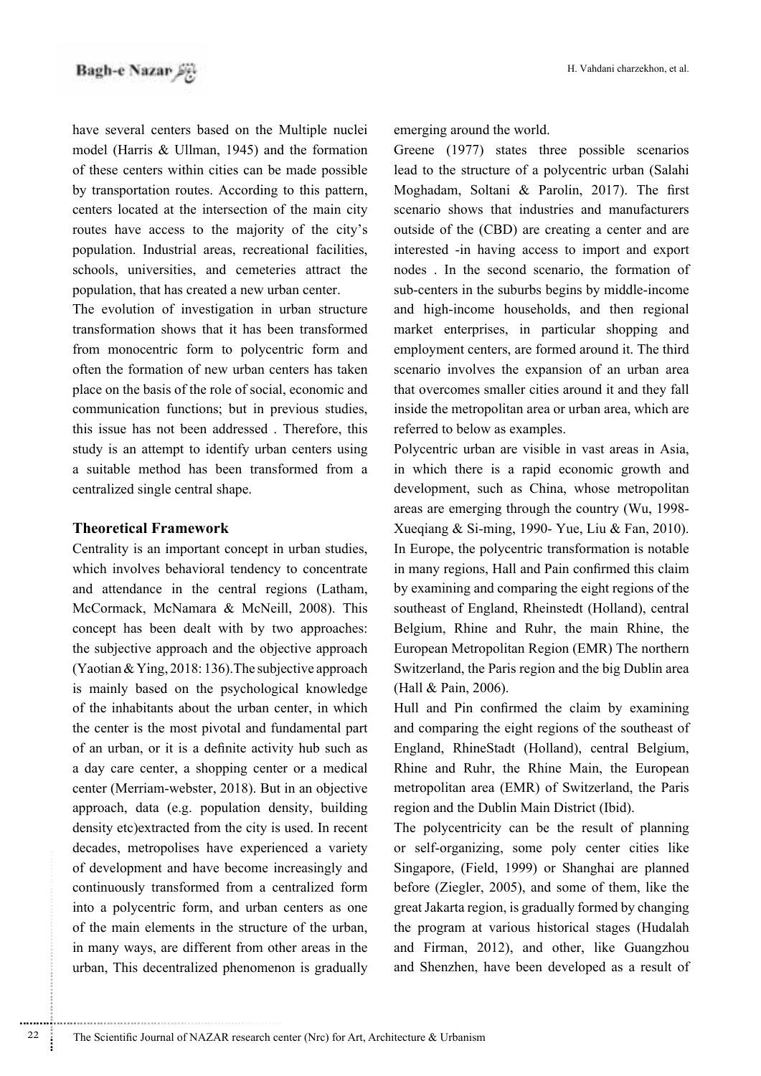have several centers based on the Multiple nuclei model (Harris  $& Ullman$  1945) and the formation of these centers within cities can be made possible by transportation routes. According to this pattern, centers located at the intersection of the main city routes have access to the majority of the city's population. Industrial areas, recreational facilities, schools, universities, and cemeteries attract the population, that has created a new urban center.

The evolution of investigation in urban structure transformation shows that it has been transformed from monocentric form to polycentric form and often the formation of new urban centers has taken place on the basis of the role of social, economic and communication functions; but in previous studies, this issue has not been addressed. Therefore, this study is an attempt to identify urban centers using a suitable method has been transformed from a centralized single central shape.

# **Theoretical Framework**

............................................................

Centrality is an important concept in urban studies, which involves behavioral tendency to concentrate and attendance in the central regions (Latham, McCormack, McNamara & McNeill, 2008). This concept has been dealt with by two approaches: the subjective approach and the objective approach  $(Yaotian \& Ying, 2018: 136)$ . The subjective approach is mainly based on the psychological knowledge of the inhabitants about the urban center, in which the center is the most pivotal and fundamental part of an urban, or it is a definite activity hub such as a day care center, a shopping center or a medical center (Merriam-webster, 2018). But in an objective approach, data (e.g. population density, building density etc) extracted from the city is used. In recent decades, metropolises have experienced a variety of development and have become increasingly and continuously transformed from a centralized form into a polycentric form, and urban centers as one of the main elements in the structure of the urban, in many ways, are different from other areas in the urban, This decentralized phenomenon is gradually

emerging around the world.

Greene  $(1977)$  states three possible scenarios lead to the structure of a polycentric urban (Salahi Moghadam, Soltani & Parolin, 2017). The first scenario shows that industries and manufacturers outside of the (CBD) are creating a center and are interested -in having access to import and export nodes . In the second scenario, the formation of sub-centers in the suburbs begins by middle-income and high-income households, and then regional market enterprises, in particular shopping and employment centers, are formed around it. The third scenario involves the expansion of an urban area that overcomes smaller cities around it and they fall inside the metropolitan area or urban area, which are referred to below as examples.

Polycentric urban are visible in vast areas in Asia, in which there is a rapid economic growth and development, such as China, whose metropolitan areas are emerging through the country (Wu,  $1998$ -Xueqiang & Si-ming, 1990- Yue, Liu & Fan, 2010). In Europe, the polycentric transformation is notable in many regions, Hall and Pain confirmed this claim by examining and comparing the eight regions of the southeast of England, Rheinstedt (Holland), central Belgium, Rhine and Ruhr, the main Rhine, the European Metropolitan Region (EMR) The northern Switzerland, the Paris region and the big Dublin area (Hall  $& Pain, 2006$ ).

Hull and Pin confirmed the claim by examining and comparing the eight regions of the southeast of England, RhineStadt (Holland), central Belgium, Rhine and Ruhr, the Rhine Main, the European metropolitan area (EMR) of Switzerland, the Paris region and the Dublin Main District (Ibid).

The polycentricity can be the result of planning or self-organizing, some poly center cities like Singapore, (Field, 1999) or Shanghai are planned before (Ziegler,  $2005$ ), and some of them, like the great Jakarta region, is gradually formed by changing the program at various historical stages (Hudalah and Firman, 2012), and other, like Guangzhou and Shenzhen, have been developed as a result of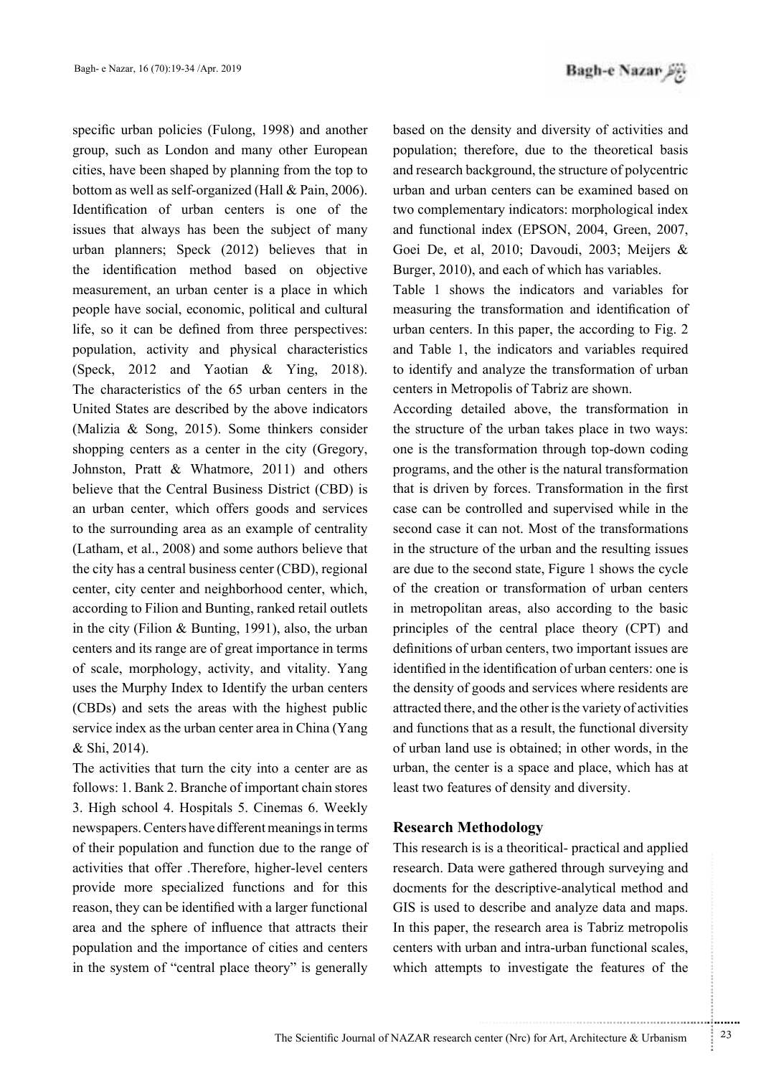specific urban policies (Fulong, 1998) and another group, such as London and many other European cities, have been shaped by planning from the top to bottom as well as self-organized (Hall  $& Pain, 2006$ ). Identification of urban centers is one of the issues that always has been the subject of many urban planners; Speck  $(2012)$  believes that in the identification method based on objective measurement, an urban center is a place in which people have social, economic, political and cultural life, so it can be defined from three perspectives: population, activity and physical characteristics (Speck, 2012 and Yaotian & Ying, 2018). The characteristics of the 65 urban centers in the United States are described by the above indicators (Malizia  $\&$  Song, 2015). Some thinkers consider shopping centers as a center in the city (Gregory, Johnston, Pratt  $\&$  Whatmore, 2011) and others believe that the Central Business District (CBD) is an urban center, which offers goods and services to the surrounding area as an example of centrality (Latham, et al.,  $2008$ ) and some authors believe that the city has a central business center (CBD), regional center, city center and neighborhood center, which, according to Filion and Bunting, ranked retail outlets in the city (Filion & Bunting, 1991), also, the urban centers and its range are of great importance in terms of scale, morphology, activity, and vitality. Yang uses the Murphy Index to Identify the urban centers  $(CBDs)$  and sets the areas with the highest public service index as the urban center area in China (Yang & Shi, 2014).

The activities that turn the city into a center are as follows: 1. Bank 2. Branche of important chain stores 3. High school 4. Hospitals 5. Cinemas 6. Weekly newspapers. Centers have different meanings in terms of their population and function due to the range of activities that offer .Therefore, higher-level centers provide more specialized functions and for this reason, they can be identified with a larger functional area and the sphere of influence that attracts their population and the importance of cities and centers in the system of "central place theory" is generally Bagh-e Nazar

based on the density and diversity of activities and population; therefore, due to the theoretical basis and research background, the structure of polycentric urban and urban centers can be examined based on two complementary indicators: morphological index and functional index (EPSON, 2004, Green, 2007, Goei De, et al, 2010; Davoudi, 2003; Meijers & Burger, 2010), and each of which has variables.

Table 1 shows the indicators and variables for measuring the transformation and identification of urban centers. In this paper, the according to Fig.  $2$ and Table 1, the indicators and variables required to identify and analyze the transformation of urban centers in Metropolis of Tabriz are shown.

According detailed above, the transformation in the structure of the urban takes place in two ways: one is the transformation through top-down coding programs, and the other is the natural transformation that is driven by forces. Transformation in the first case can be controlled and supervised while in the second case it can not. Most of the transformations in the structure of the urban and the resulting issues are due to the second state, Figure 1 shows the cycle of the creation or transformation of urban centers in metropolitan areas, also according to the basic principles of the central place theory  $(CPT)$  and definitions of urban centers, two important issues are identified in the identification of urban centers: one is the density of goods and services where residents are attracted there, and the other is the variety of activities and functions that as a result, the functional diversity of urban land use is obtained; in other words, in the urban, the center is a space and place, which has at least two features of density and diversity.

## **Methodology Research**

This research is is a theoritical- practical and applied research. Data were gathered through surveying and docments for the descriptive-analytical method and GIS is used to describe and analyze data and maps. In this paper, the research area is Tabriz metropolis centers with urban and intra-urban functional scales, which attempts to investigate the features of the

.......... ....... ........ ........... ...... ....... ........ .......... ...........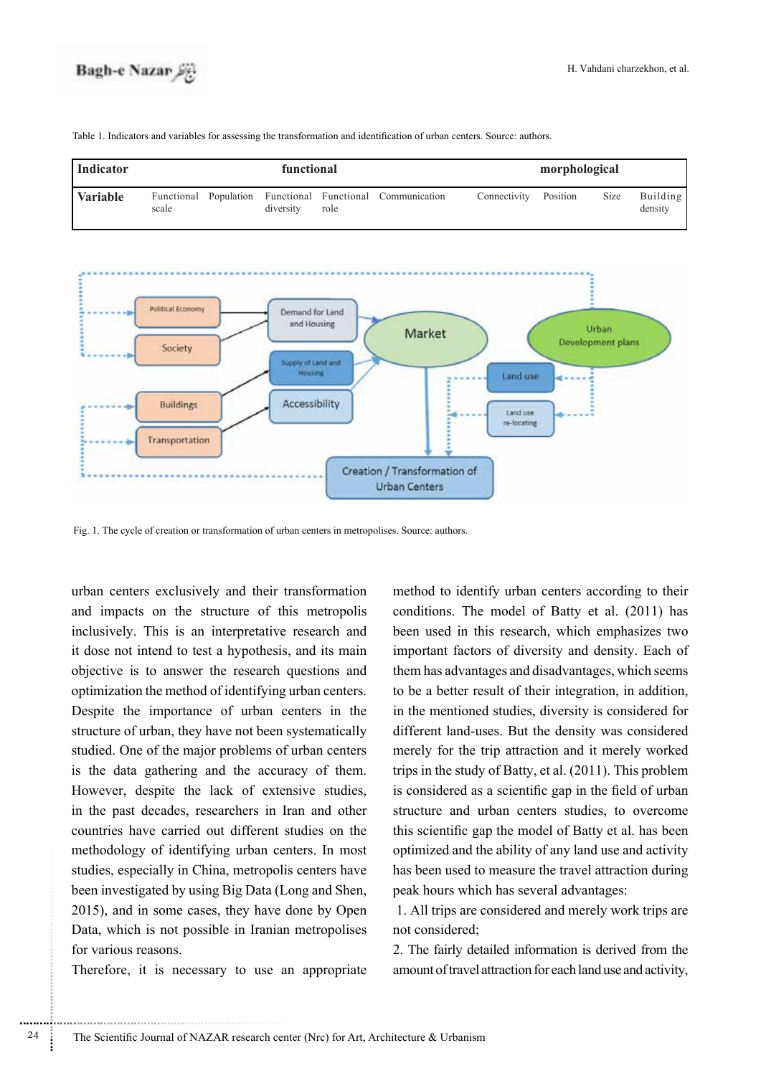| Indicator       |                                | functional |           |      |                                     |              | morphological |      |                     |  |  |
|-----------------|--------------------------------|------------|-----------|------|-------------------------------------|--------------|---------------|------|---------------------|--|--|
| <b>Variable</b> | Functional Population<br>scale |            | diversity | role | Functional Functional Communication | Connectivity | Position      | Size | Building<br>density |  |  |

Table 1. Indicators and variables for assessing the transformation and identification of urban centers. Source: authors.



Fig. 1. The cycle of creation or transformation of urban centers in metropolises. Source: authors.

urban centers exclusively and their transformation and impacts on the structure of this metropolis inclusively. This is an interpretative research and it dose not intend to test a hypothesis, and its main objective is to answer the research questions and optimization the method of identifying urban centers. Despite the importance of urban centers in the structure of urban, they have not been systematically studied. One of the major problems of urban centers is the data gathering and the accuracy of them. However, despite the lack of extensive studies, in the past decades, researchers in Iran and other countries have carried out different studies on the methodology of identifying urban centers. In most studies, especially in China, metropolis centers have been investigated by using Big Data (Long and Shen,  $2015$ ), and in some cases, they have done by Open Data, which is not possible in Iranian metropolises for various reasons

Therefore, it is necessary to use an appropriate

method to identify urban centers according to their conditions. The model of Batty et al. (2011) has been used in this research, which emphasizes two important factors of diversity and density. Each of them has advantages and disadvantages, which seems to be a better result of their integration, in addition, in the mentioned studies, diversity is considered for different land-uses. But the density was considered merely for the trip attraction and it merely worked trips in the study of Batty, et al.  $(2011)$ . This problem is considered as a scientific gap in the field of urban structure and urban centers studies, to overcome this scientific gap the model of Batty et al. has been optimized and the ability of any land use and activity has been used to measure the travel attraction during peak hours which has several advantages:

1. All trips are considered and merely work trips are not considered;

2. The fairly detailed information is derived from the amount of travel attraction for each land use and activity,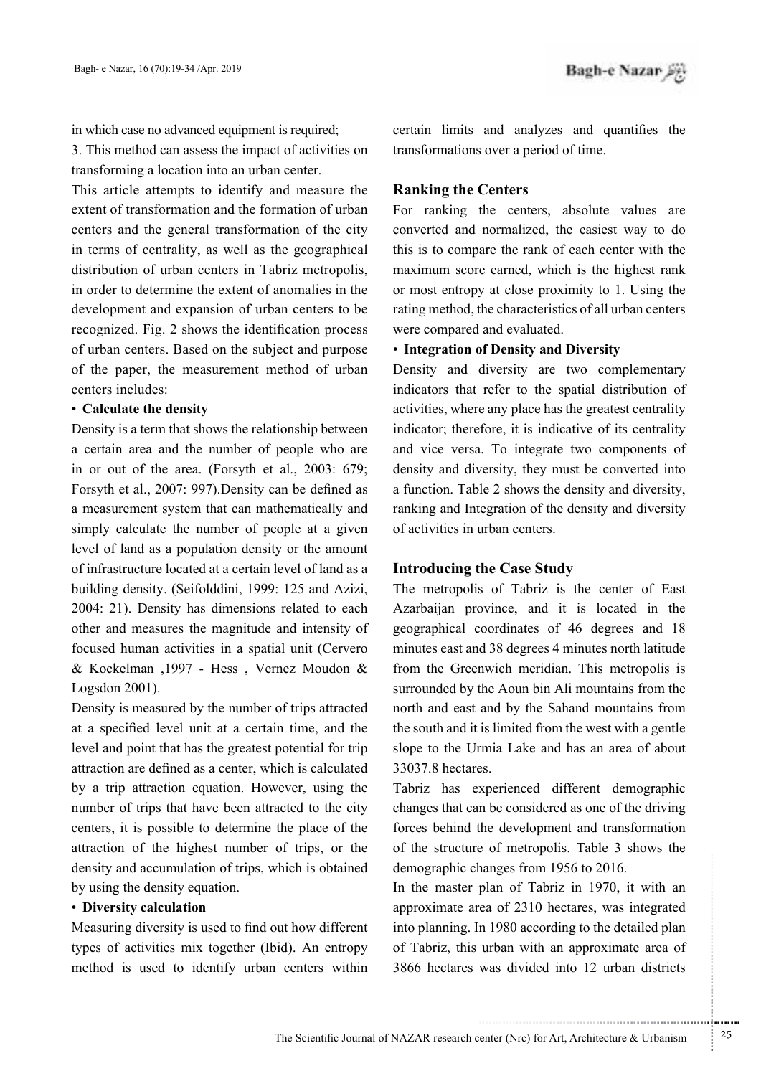in which case no advanced equipment is required;

3. This method can assess the impact of activities on transforming a location into an urban center.

This article attempts to identify and measure the extent of transformation and the formation of urban centers and the general transformation of the city in terms of centrality, as well as the geographical distribution of urban centers in Tabriz metropolis, in order to determine the extent of anomalies in the development and expansion of urban centers to be recognized. Fig. 2 shows the identification process of urban centers. Based on the subject and purpose of the paper, the measurement method of urban centers includes:

### **• Calculate the density**

Density is a term that shows the relationship between a certain area and the number of people who are in or out of the area. (Forsyth et al.,  $2003$ :  $679$ : Forsyth et al., 2007: 997). Density can be defined as a measurement system that can mathematically and simply calculate the number of people at a given level of land as a population density or the amount of infrastructure located at a certain level of land as a building density. (Seifolddini, 1999: 125 and Azizi,  $2004$ : 21). Density has dimensions related to each other and measures the magnitude and intensity of focused human activities in a spatial unit (Cervero & Kockelman ,1997 - Hess, Vernez Moudon & Logsdon  $2001$ ).

Density is measured by the number of trips attracted at a specified level unit at a certain time, and the the level and point that has the greatest potential for trip attraction are defined as a center, which is calculated by a trip attraction equation. However, using the number of trips that have been attracted to the city centers, it is possible to determine the place of the attraction of the highest number of trips, or the density and accumulation of trips, which is obtained by using the density equation.

### **• Diversity calculation**

Measuring diversity is used to find out how different types of activities mix together (Ibid). An entropy method is used to identify urban centers within certain limits and analyzes and quantifies the transformations over a period of time.

## **Ranking the Centers**

For ranking the centers, absolute values are converted and normalized, the easiest way to do this is to compare the rank of each center with the maximum score earned, which is the highest rank or most entropy at close proximity to 1. Using the rating method, the characteristics of all urban centers were compared and evaluated.

### **• Integration of Density and Diversity**

Density and diversity are two complementary indicators that refer to the spatial distribution of activities, where any place has the greatest centrality indicator; therefore, it is indicative of its centrality and vice versa. To integrate two components of density and diversity, they must be converted into a function. Table 2 shows the density and diversity, ranking and Integration of the density and diversity of activities in urban centers.

# **Introducing the Case Study**

The metropolis of Tabriz is the center of East Azarbaijan province, and it is located in the geographical coordinates of 46 degrees and 18 minutes east and 38 degrees 4 minutes north latitude from the Greenwich meridian. This metropolis is surrounded by the Aoun bin Ali mountains from the north and east and by the Sahand mountains from the south and it is limited from the west with a gentle slope to the Urmia Lake and has an area of about 33037.8 hectares

Tabriz has experienced different demographic changes that can be considered as one of the driving forces behind the development and transformation of the structure of metropolis. Table 3 shows the demographic changes from 1956 to 2016.

In the master plan of Tabriz in 1970, it with an approximate area of 2310 hectares, was integrated into planning. In 1980 according to the detailed plan of Tabriz, this urban with an approximate area of 3866 hectares was divided into 12 urban districts

.......... ....... ........ ........... ...... ....... ........ .......... ...........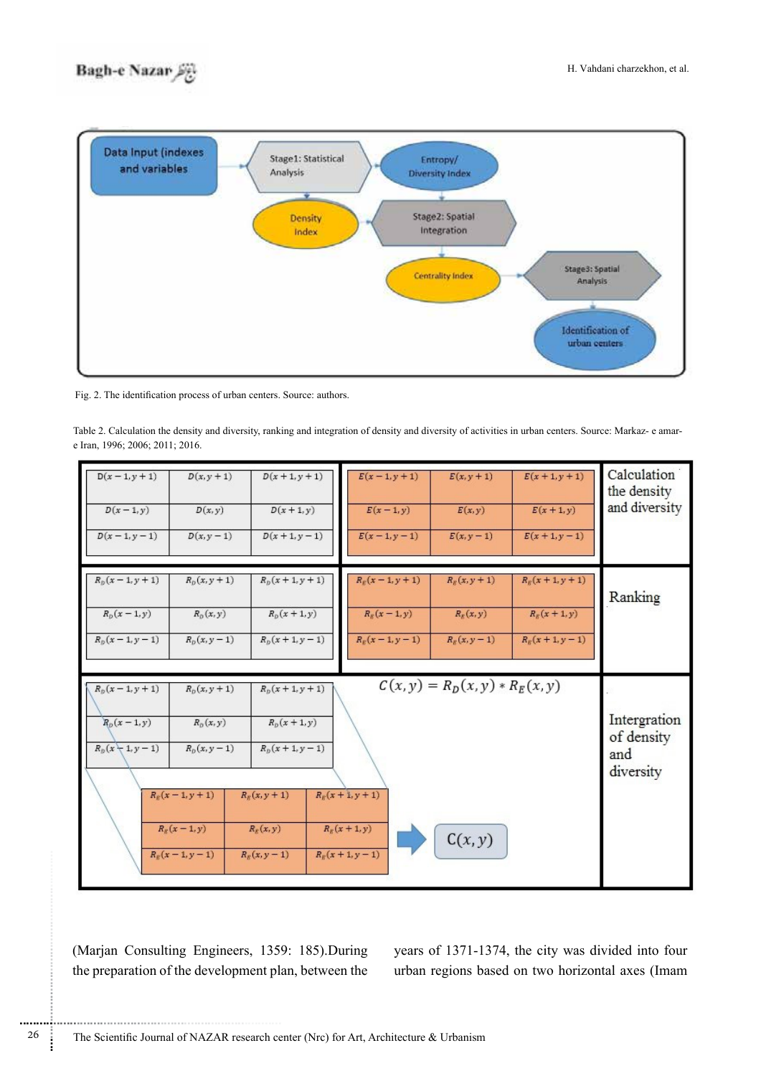# **Bagh-e Nazar**



Fig. 2. The identification process of urban centers. Source: authors.

Table 2. Calculation the density and diversity, ranking and integration of density and diversity of activities in urban centers. Source: Markaz- e amar-<br>e Iran, 1996; 2006; 2011; 2016.

| $D(x - 1, y + 1)$                                        | $D(x, y + 1)$                                                                                                                 | $D(x + 1, y + 1)$                                                                                                         | $E(x - 1, y + 1)$                                             | $E(x, y + 1)$                                | $E(x + 1, y + 1)$ | Calculation                                    |
|----------------------------------------------------------|-------------------------------------------------------------------------------------------------------------------------------|---------------------------------------------------------------------------------------------------------------------------|---------------------------------------------------------------|----------------------------------------------|-------------------|------------------------------------------------|
| $D(x-1,y)$                                               | D(x, y)                                                                                                                       | $D(x+1, y)$                                                                                                               | $E(x-1, y)$                                                   | E(x,y)                                       | $E(x+1, y)$       | the density                                    |
| $D(x - 1, y - 1)$                                        | $D(x, y - 1)$                                                                                                                 | $D(x + 1, y - 1)$                                                                                                         | $E(x-1,y-1)$                                                  | $E(x, y - 1)$                                | $E(x + 1, y - 1)$ | and diversity                                  |
| $R_{b}(x-1, y+1)$                                        | $R_{p}(x, y + 1)$                                                                                                             | $R_{D}(x + 1, y + 1)$                                                                                                     | $R_{g}(x-1, y+1)$                                             | $R_{R}(x, y + 1)$                            | $R_{R}(x+1, y+1)$ | Ranking                                        |
| $R_{\rm p}(x-1,y)$                                       | $R_p(x, y)$                                                                                                                   | $R_{\rm p}(x+1,y)$                                                                                                        | $R_{R}(x-1, y)$                                               | $R_{R}(x,y)$                                 | $R_{g}(x+1,y)$    |                                                |
| $R_p(x-1, y-1)$                                          | $R_{\rm p}(x, y - 1)$                                                                                                         | $R_0(x + 1, y - 1)$                                                                                                       | $R_{R}(x-1, y-1)$                                             | $R_{R}(x, y - 1)$                            | $R_{R}(x+1, y-1)$ |                                                |
| $R_{\rm D}(x-1, y+1)$<br>$R_p(x-1,y)$<br>$R_p(x+1, y-1)$ | $R_{\rm p}(x, y + 1)$<br>$R_{D}(x, y)$<br>$R_{\rm p}(x, y-1)$<br>$R_{R}(x-1, y+1)$<br>$R_{R}(x-1, y)$<br>$R_{\rm g}(x-1,y-1)$ | $R_{p}(x+1, y+1)$<br>$R_{\rm p}(x+1,y)$<br>$R_p(x + 1, y - 1)$<br>$R_{R}(x, y + 1)$<br>$R_{R}(x, y)$<br>$R_{R}(x, y - 1)$ | $R_{R}(x + 1, y + 1)$<br>$R_{R}(x+1, y)$<br>$R_{r}(x+1, y-1)$ | $C(x, y) = R_D(x, y) * R_E(x, y)$<br>C(x, y) |                   | Intergration<br>of density<br>and<br>diversity |

(Marjan Consulting Engineers, 1359: 185).During the preparation of the development plan, between the

years of 1371-1374, the city was divided into four urban regions based on two horizontal axes (Imam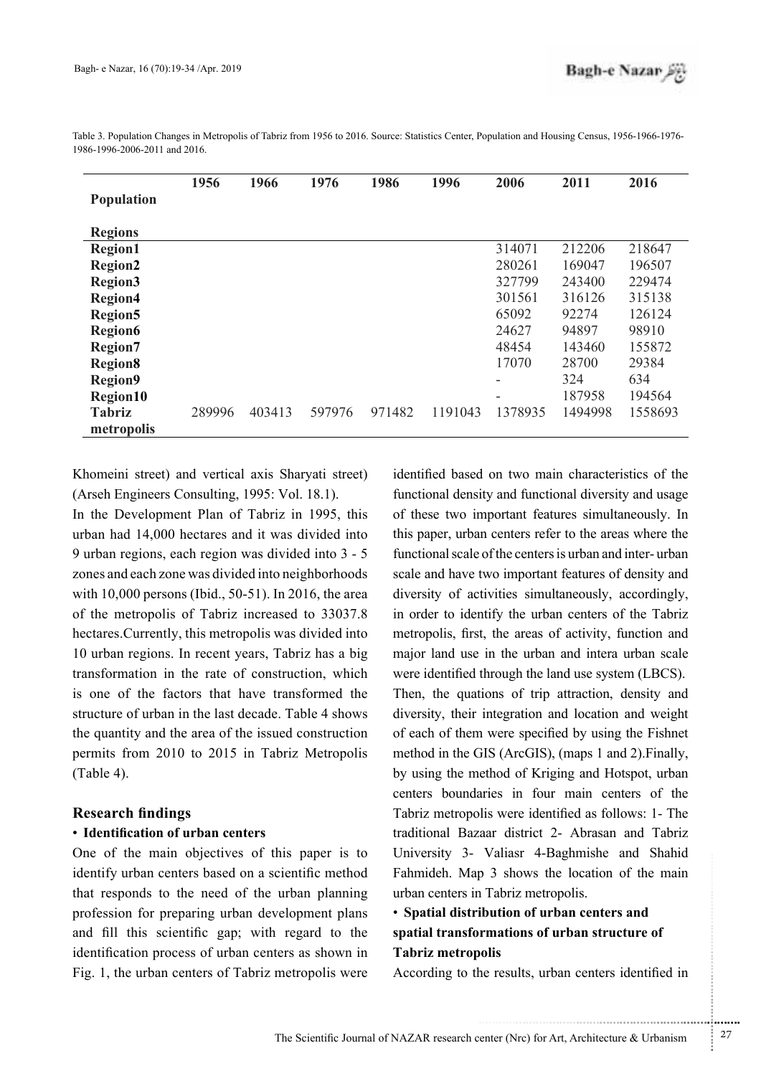|                             | 1956   | 1966   | 1976   | 1986   | 1996    | 2006    | 2011    | 2016    |
|-----------------------------|--------|--------|--------|--------|---------|---------|---------|---------|
| <b>Population</b>           |        |        |        |        |         |         |         |         |
| <b>Regions</b>              |        |        |        |        |         |         |         |         |
| <b>Region1</b>              |        |        |        |        |         | 314071  | 212206  | 218647  |
| <b>Region2</b>              |        |        |        |        |         | 280261  | 169047  | 196507  |
| Region3                     |        |        |        |        |         | 327799  | 243400  | 229474  |
| <b>Region4</b>              |        |        |        |        |         | 301561  | 316126  | 315138  |
| <b>Region5</b>              |        |        |        |        |         | 65092   | 92274   | 126124  |
| <b>Region6</b>              |        |        |        |        |         | 24627   | 94897   | 98910   |
| Region7                     |        |        |        |        |         | 48454   | 143460  | 155872  |
| <b>Region8</b>              |        |        |        |        |         | 17070   | 28700   | 29384   |
| <b>Region9</b>              |        |        |        |        |         | -       | 324     | 634     |
| Region10                    |        |        |        |        |         | -       | 187958  | 194564  |
| <b>Tabriz</b><br>metropolis | 289996 | 403413 | 597976 | 971482 | 1191043 | 1378935 | 1494998 | 1558693 |

Table 3. Population Changes in Metropolis of Tabriz from 1956 to 2016. Source: Statistics Center. Population and Housing Census, 1956-1966-1976-1986-1996-2006-2011 and 2016.

Khomeini street) and vertical axis Sharyati street) (Arseh Engineers Consulting, 1995: Vol. 18.1).

In the Development Plan of Tabriz in 1995, this urban had 14,000 hectares and it was divided into 9 urban regions, each region was divided into  $3 - 5$ zones and each zone was divided into neighborhoods with  $10,000$  persons (Ibid., 50-51). In 2016, the area of the metropolis of Tabriz increased to 33037.8 hectares. Currently, this metropolis was divided into 10 urban regions. In recent years, Tabriz has a big transformation in the rate of construction, which is one of the factors that have transformed the structure of urban in the last decade. Table 4 shows the quantity and the area of the issued construction permits from 2010 to 2015 in Tabriz Metropolis  $(Table 4)$ .

### **findings Research**

# **• Identification of urban centers**

One of the main objectives of this paper is to identify urban centers based on a scientific method that responds to the need of the urban planning profession for preparing urban development plans and fill this scientific gap; with regard to the identification process of urban centers as shown in Fig. 1, the urban centers of Tabriz metropolis were

identified based on two main characteristics of the functional density and functional diversity and usage of these two important features simultaneously. In this paper, urban centers refer to the areas where the functional scale of the centers is urban and inter-urban scale and have two important features of density and diversity of activities simultaneously, accordingly, in order to identify the urban centers of the Tabriz metropolis, first, the areas of activity, function and major land use in the urban and intera urban scale were identified through the land use system (LBCS). Then, the quations of trip attraction, density and diversity, their integration and location and weight of each of them were specified by using the Fishnet method in the GIS (ArcGIS), (maps  $1$  and  $2$ ). Finally, by using the method of Kriging and Hotspot, urban centers boundaries in four main centers of the Tabriz metropolis were identified as follows: 1- The traditional Bazaar district 2- Abrasan and Tabriz University 3- Valiasr 4-Baghmishe and Shahid Fahmideh. Map 3 shows the location of the main urban centers in Tabriz metropolis.

# • Spatial distribution of urban centers and spatial transformations of urban structure of **metropolis Tabriz**

According to the results, urban centers identified in

.......... ....... ........ ........... ...... ....... ........ .......... ...........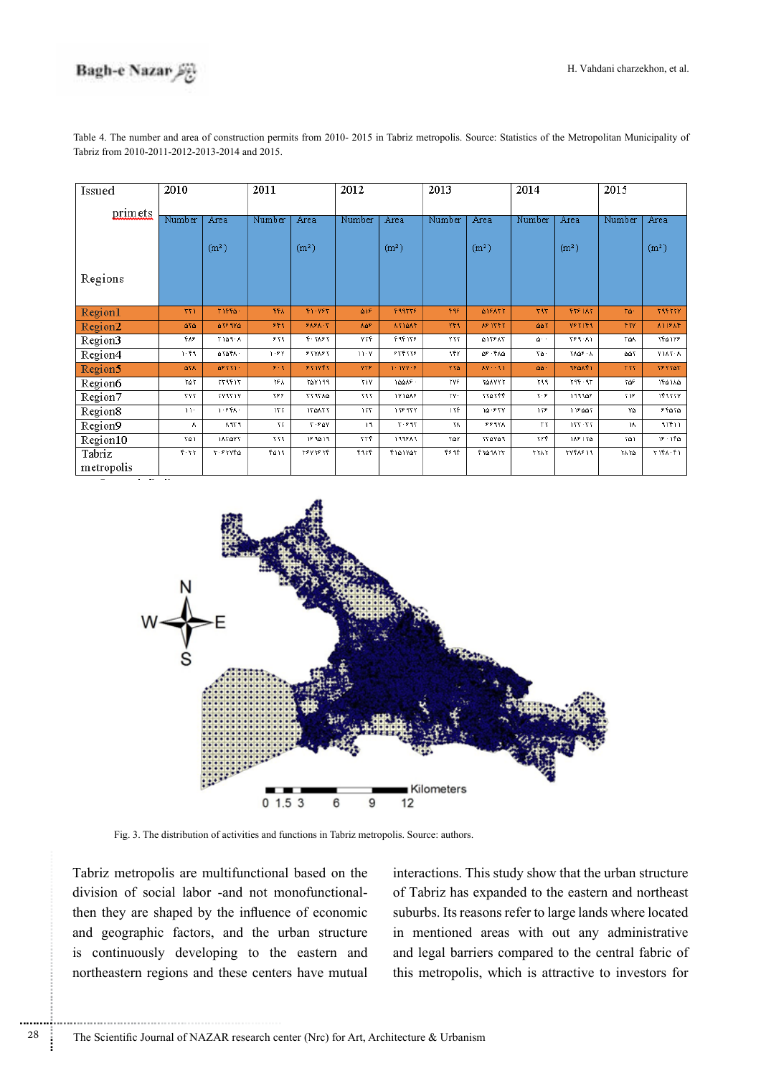

Region4

Region5

Region6

Region7

Region8

Region9

Region10

Tabriz metropolis 1.59

677

 $\overline{363}$ 

 $\overline{Y}Y\overline{Y}$ 

 $\overline{\mathbf{w}}$ 

 $\Lambda$ 

 $\overline{501}$ 

 $\overline{f(\tau)}$ 

**ATAFA** 

6833

 $713977$ 

 $\overline{YY}$ 

 $1.556$ 

 $777A$ 

187477

 $5.51966$ 

 $1.5V$ 

 $\overline{rsk}$ 

 $\overline{555}$ 

 $\overline{155}$ 

 $\overline{\mathbf{r}}$ 

 $\overline{\tau\tau}$ 

**FATS** 

 $539853$ 

**FYIVE** 

76V199

647877

174477

 $T - 50V$ 

 $193013$ 

 $\frac{1}{27} \frac{1}{27} \frac{1}{27} \frac{1}{27}$ 

| Issued  | 2010   |                   | 2011       |                   | 2012       |                   | 2013       |                   | 2014     |                   | 2015       |                   |
|---------|--------|-------------------|------------|-------------------|------------|-------------------|------------|-------------------|----------|-------------------|------------|-------------------|
| primets | Number | Area              | Number     | Area              | Number     | Area              | Number     | Area              | Number   | Area              | Number     | Area              |
|         |        | (m <sup>2</sup> ) |            | (m <sup>2</sup> ) |            | (m <sup>2</sup> ) |            | (m <sup>2</sup> ) |          | (m <sup>2</sup> ) |            | (m <sup>2</sup> ) |
| Regions |        |                   |            |                   |            |                   |            |                   |          |                   |            |                   |
| Region1 | 771    | 51664             | <b>FFA</b> | F1-YFT            | <b>A18</b> | <b>FRATTE</b>     | F4F.       | 418853            | 797      | <b>FYF 187</b>    | ٢۵٠        | 799777            |
| Region2 | 676    | <b>4383Y4</b>     | <b>PFR</b> | <b>FAFA-T</b>     | <b>AGF</b> | <b>AYIGAE</b>     | <b>VER</b> | <b>AP ITET</b>    | 663      | <b>VET159</b>     | <b>FYY</b> | <b>A118AF</b>     |
| Region3 | ችሉዎ    | አ - ፆዕና ተ         | ۶۲۹.       | 7.31.77           | ۷۲۴.       | 496158            | ۷۲۲.       | 415885            | $\Delta$ | ነን የተማ            | ተልለ        | <b>ነናል</b> ነሃዖ    |

 $11 - Y$ 

**YTS** 

 $\overline{v}$ 

 $\overline{\tau}$ 

 $\overline{11}$ 

 $\overline{\mathcal{M}}$ 

 $\overline{\tau\tau\overline{\tau}}$ 

 $\overline{\mathfrak{F}}$ 

 $55555$ 

r ivv

16668

1Y146F

 $13537$ 

 $7.54$ 

199849

Flatvar

रा

VY4

 $\overline{v}$ 

 $\overline{Y}$ 

 $\overline{115}$ 

 $\overline{\mathbf{z}}$ 

٣۵٧

**FF 98** 

48.544

**TOAVVY** 

**TTATFF** 

14.977

 $553V$ 

**TYAYA1** 

 $77 \lambda P \Delta 77$ 

 $\overline{\mathcal{N}}$ 

٨Ÿ

 $\overline{\mathbf{r}}$ 

۵۵

ररर

 $\overline{\gamma \cdot \mathfrak{s}}$ 

 $\overline{175}$ 

 $\overline{\tau}$ 

 $\overline{v}$ 

 $\overline{7\lambda77}$ 

3668 - 6

**12445** 

 $79.977$ 

 $199905$ 

118447

 $17 - 771$ 

ነአዖ ነፕል

**TYFAF19** 

 $\overline{\Delta\Delta Y}$ 

٣W

**YAF** 

 $\overline{\gamma\gamma\overline{r}}$ 

 $\overline{\mathsf{v}_\Delta}$ 

 $\overline{\mathbf{z}}$ 

۲۵۱

67.87

**X183.6** 

**787741** 

156166

 $15177V$ 

**FFATA** 

 $117711$ 

 $18 - 156$ 

 $17.1717$ 

Table 4. The number and area of construction permits from 2010- 2015 in Tabriz metropolis. Source: Statistics of the Metropolitan Municipality of Tabriz from 2010-2011-2012-2013-2014 and 2015.



Fig. 3. The distribution of activities and functions in Tabriz metropolis. Source: authors.

Tabriz metropolis are multifunctional based on the then they are shaped by the influence of economic division of social labor -and not monofunctionaland geographic factors, and the urban structure is continuously developing to the eastern and northeastern regions and these centers have mutual

............................................................

interactions. This study show that the urban structure of Tabriz has expanded to the eastern and northeast suburbs. Its reasons refer to large lands where located in mentioned areas with out any administrative and legal barriers compared to the central fabric of this metropolis, which is attractive to investors for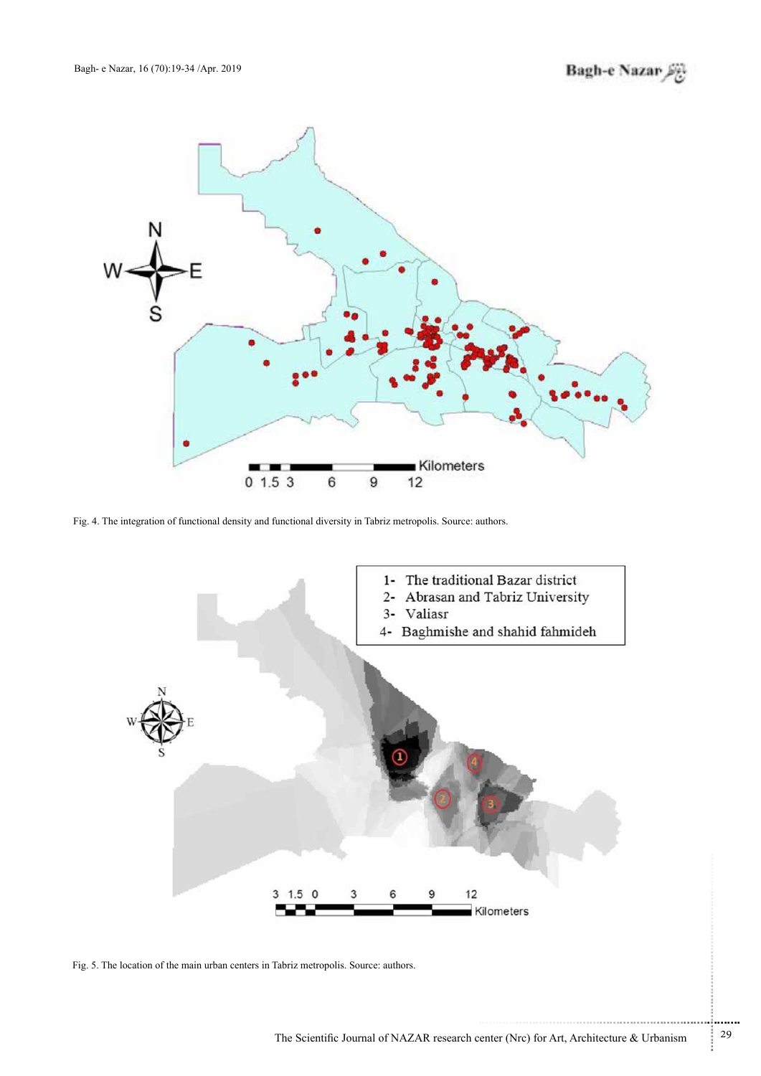

Fig. 4. The integration of functional density and functional diversity in Tabriz metropolis. Source: authors.



Fig. 5. The location of the main urban centers in Tabriz metropolis. Source: authors.

.......... ....... ........ ........... ...... ....... ........ .......... ...........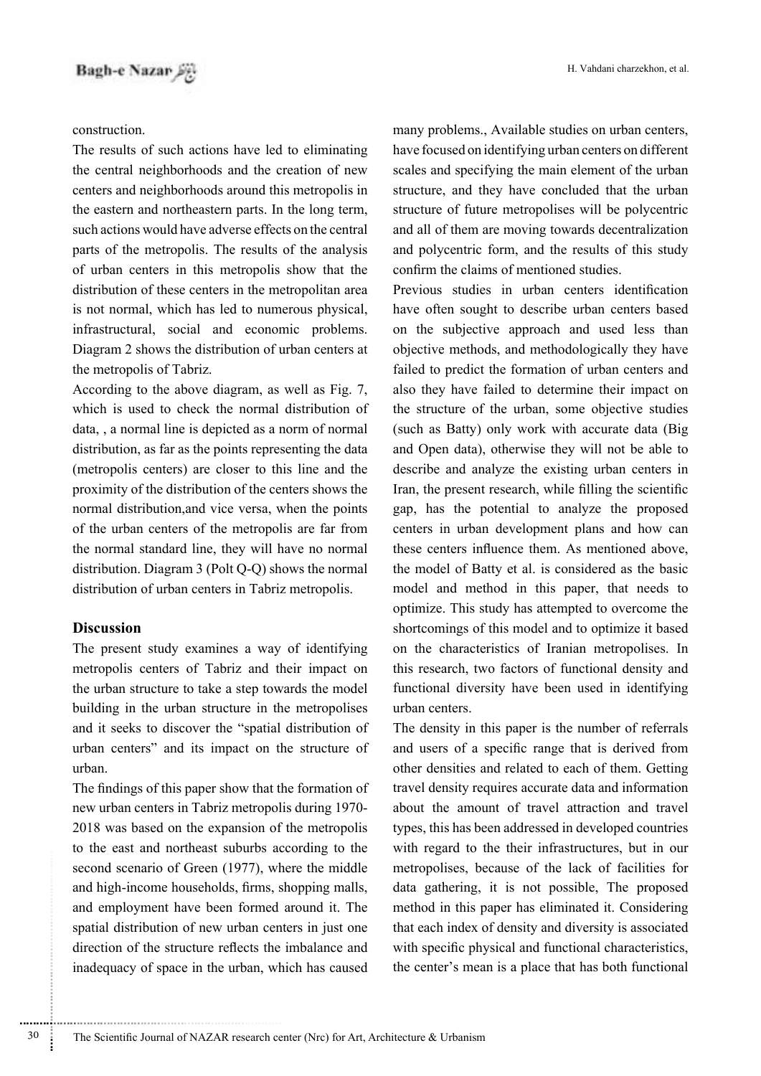## .construction

The results of such actions have led to eliminating the central neighborhoods and the creation of new centers and neighborhoods around this metropolis in the eastern and northeastern parts. In the long term, such actions would have adverse effects on the central parts of the metropolis. The results of the analysis of urban centers in this metropolis show that the distribution of these centers in the metropolitan area is not normal, which has led to numerous physical, infrastructural, social and economic problems. Diagram 2 shows the distribution of urban centers at the metropolis of Tabriz.

According to the above diagram, as well as Fig.  $7$ , which is used to check the normal distribution of data, , a normal line is depicted as a norm of normal distribution, as far as the points representing the data (metropolis centers) are closer to this line and the proximity of the distribution of the centers shows the normal distribution, and vice versa, when the points of the urban centers of the metropolis are far from the normal standard line, they will have no normal distribution. Diagram  $3$  (Polt Q-Q) shows the normal distribution of urban centers in Tabriz metropolis.

## **Discussion**

............................................................

The present study examines a way of identifying metropolis centers of Tabriz and their impact on the urban structure to take a step towards the model building in the urban structure in the metropolises and it seeks to discover the "spatial distribution of urban centers" and its impact on the structure of .urban

The findings of this paper show that the formation of new urban centers in Tabriz metropolis during 1970-2018 was based on the expansion of the metropolis to the east and northeast suburbs according to the second scenario of Green  $(1977)$ , where the middle and high-income households, firms, shopping malls, and employment have been formed around it. The spatial distribution of new urban centers in just one direction of the structure reflects the imbalance and inadequacy of space in the urban, which has caused

many problems., Available studies on urban centers, have focused on identifying urban centers on different scales and specifying the main element of the urban structure, and they have concluded that the urban structure of future metropolises will be polycentric and all of them are moving towards decentralization and polycentric form, and the results of this study confirm the claims of mentioned studies.

Previous studies in urban centers identification have often sought to describe urban centers based on the subjective approach and used less than objective methods, and methodologically they have failed to predict the formation of urban centers and also they have failed to determine their impact on the structure of the urban, some objective studies (such as Batty) only work with accurate data (Big) and Open data), otherwise they will not be able to describe and analyze the existing urban centers in Iran, the present research, while filling the scientific gap, has the potential to analyze the proposed centers in urban development plans and how can these centers influence them. As mentioned above, the model of Batty et al. is considered as the basic model and method in this paper, that needs to optimize. This study has attempted to overcome the shortcomings of this model and to optimize it based on the characteristics of Iranian metropolises. In this research, two factors of functional density and functional diversity have been used in identifying urban centers.

The density in this paper is the number of referrals and users of a specific range that is derived from other densities and related to each of them. Getting travel density requires accurate data and information about the amount of travel attraction and travel types, this has been addressed in developed countries with regard to the their infrastructures, but in our metropolises, because of the lack of facilities for data gathering, it is not possible, The proposed method in this paper has eliminated it. Considering that each index of density and diversity is associated with specific physical and functional characteristics, the center's mean is a place that has both functional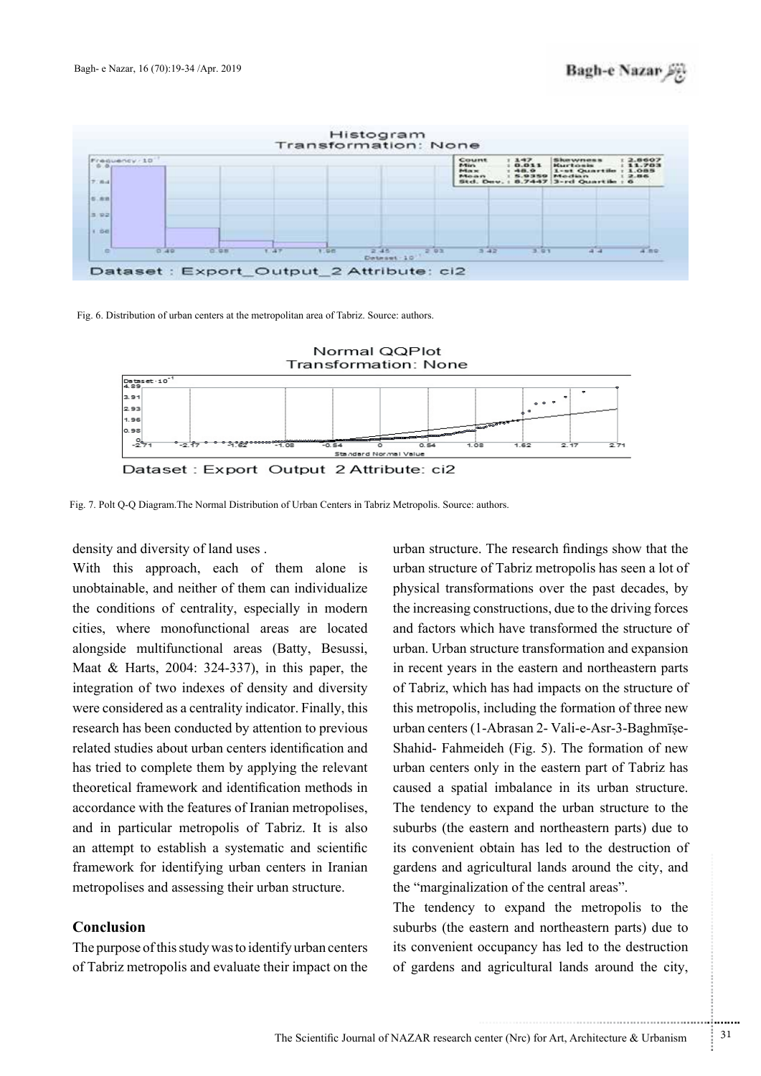

Fig. 6. Distribution of urban centers at the metropolitan area of Tabriz. Source: authors.



Fig. 7. Polt Q-Q Diagram The Normal Distribution of Urban Centers in Tabriz Metropolis. Source: authors.

density and diversity of land uses.

With this approach, each of them alone is unobtainable, and neither of them can individualize the conditions of centrality, especially in modern cities, where monofunctional areas are located alongside multifunctional areas (Batty, Besussi, Maat & Harts, 2004: 324-337), in this paper, the integration of two indexes of density and diversity were considered as a centrality indicator. Finally, this research has been conducted by attention to previous related studies about urban centers identification and has tried to complete them by applying the relevant theoretical framework and identification methods in accordance with the features of Iranian metropolises, and in particular metropolis of Tabriz. It is also an attempt to establish a systematic and scientific framework for identifying urban centers in Iranian metropolises and assessing their urban structure.

## **Conclusion**

The purpose of this study was to identify urban centers of Tabriz metropolis and evaluate their impact on the

urban structure. The research findings show that the urban structure of Tabriz metropolis has seen a lot of physical transformations over the past decades, by the increasing constructions, due to the driving forces and factors which have transformed the structure of urban. Urban structure transformation and expansion in recent years in the eastern and northeastern parts of Tabriz, which has had impacts on the structure of this metropolis, including the formation of three new Shahid- Fahmeideh (Fig. 5). The formation of new urban centers (1-Abrasan 2- Vali-e-Asr-3-Baghmiseurban centers only in the eastern part of Tabriz has caused a spatial imbalance in its urban structure. The tendency to expand the urban structure to the suburbs (the eastern and northeastern parts) due to its convenient obtain has led to the destruction of gardens and agricultural lands around the city, and the "marginalization of the central areas".

The tendency to expand the metropolis to the suburbs (the eastern and northeastern parts) due to its convenient occupancy has led to the destruction of gardens and agricultural lands around the city,

.......... ....... ........ ........... ...... ....... ........ .......... ...........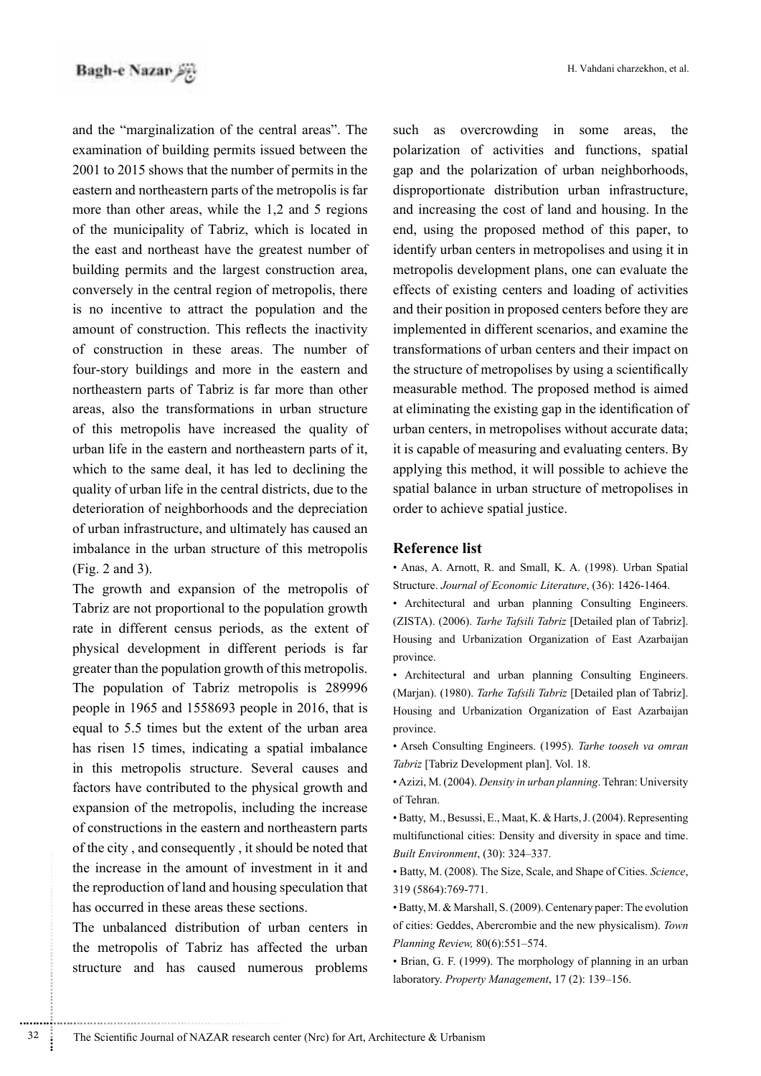and the "marginalization of the central areas". The examination of building permits issued between the  $2001$  to 2015 shows that the number of permits in the eastern and northeastern parts of the metropolis is far more than other areas, while the  $1.2$  and  $5$  regions of the municipality of Tabriz, which is located in the east and northeast have the greatest number of building permits and the largest construction area, conversely in the central region of metropolis, there is no incentive to attract the population and the amount of construction. This reflects the inactivity of construction in these areas. The number of four-story buildings and more in the eastern and northeastern parts of Tabriz is far more than other areas, also the transformations in urban structure of this metropolis have increased the quality of urban life in the eastern and northeastern parts of it, which to the same deal, it has led to declining the quality of urban life in the central districts, due to the deterioration of neighborhoods and the depreciation of urban infrastructure, and ultimately has caused an imbalance in the urban structure of this metropolis  $(Fig. 2 and 3)$ .

The growth and expansion of the metropolis of Tabriz are not proportional to the population growth rate in different census periods, as the extent of physical development in different periods is far greater than the population growth of this metropolis. The population of Tabriz metropolis is 289996 people in 1965 and 1558693 people in 2016, that is equal to 5.5 times but the extent of the urban area has risen 15 times, indicating a spatial imbalance in this metropolis structure. Several causes and factors have contributed to the physical growth and expansion of the metropolis, including the increase of constructions in the eastern and northeastern parts of the city, and consequently, it should be noted that the increase in the amount of investment in it and the reproduction of land and housing speculation that has occurred in these areas these sections.

The unbalanced distribution of urban centers in the metropolis of Tabriz has affected the urban structure and has caused numerous problems such as overcrowding in some areas, the polarization of activities and functions, spatial gap and the polarization of urban neighborhoods, disproportionate distribution urban infrastructure. and increasing the cost of land and housing. In the end, using the proposed method of this paper, to identify urban centers in metropolises and using it in metropolis development plans, one can evaluate the effects of existing centers and loading of activities and their position in proposed centers before they are implemented in different scenarios, and examine the transformations of urban centers and their impact on the structure of metropolises by using a scientifically measurable method. The proposed method is aimed at eliminating the existing gap in the identification of urban centers, in metropolises without accurate data; it is capable of measuring and evaluating centers. By applying this method, it will possible to achieve the spatial balance in urban structure of metropolises in order to achieve spatial justice.

### **Reference** list

• Anas, A. Arnott, R. and Small, K. A. (1998). Urban Spatial Structure. Journal of Economic Literature, (36): 1426-1464.

• Architectural and urban planning Consulting Engineers. (ZISTA). (2006). Tarhe Tafsili Tabriz [Detailed plan of Tabriz]. Housing and Urbanization Organization of East Azarbaijan province.

• Architectural and urban planning Consulting Engineers. (Marjan). (1980). Tarhe Tafsili Tabriz [Detailed plan of Tabriz]. Housing and Urbanization Organization of East Azarbaijan province.

• Arseh Consulting Engineers. (1995). Tarhe tooseh va omran Tabriz [Tabriz Development plan]. Vol. 18.

• Azizi, M. (2004). *Density in urban planning*. Tehran: University of Tehran.

• Batty, M., Besussi, E., Maat, K. & Harts, J. (2004). Representing multifunctional cities: Density and diversity in space and time. Built Environment, (30): 324-337.

• Batty, M. (2008). The Size, Scale, and Shape of Cities. Science, 319 (5864): 769-771.

• Batty, M. & Marshall, S. (2009). Centenary paper: The evolution of cities: Geddes, Abercrombie and the new physicalism). Town Planning Review, 80(6):551-574.

 $\bullet$  Brian, G. F. (1999). The morphology of planning in an urban laboratory. Property Management, 17 (2): 139-156.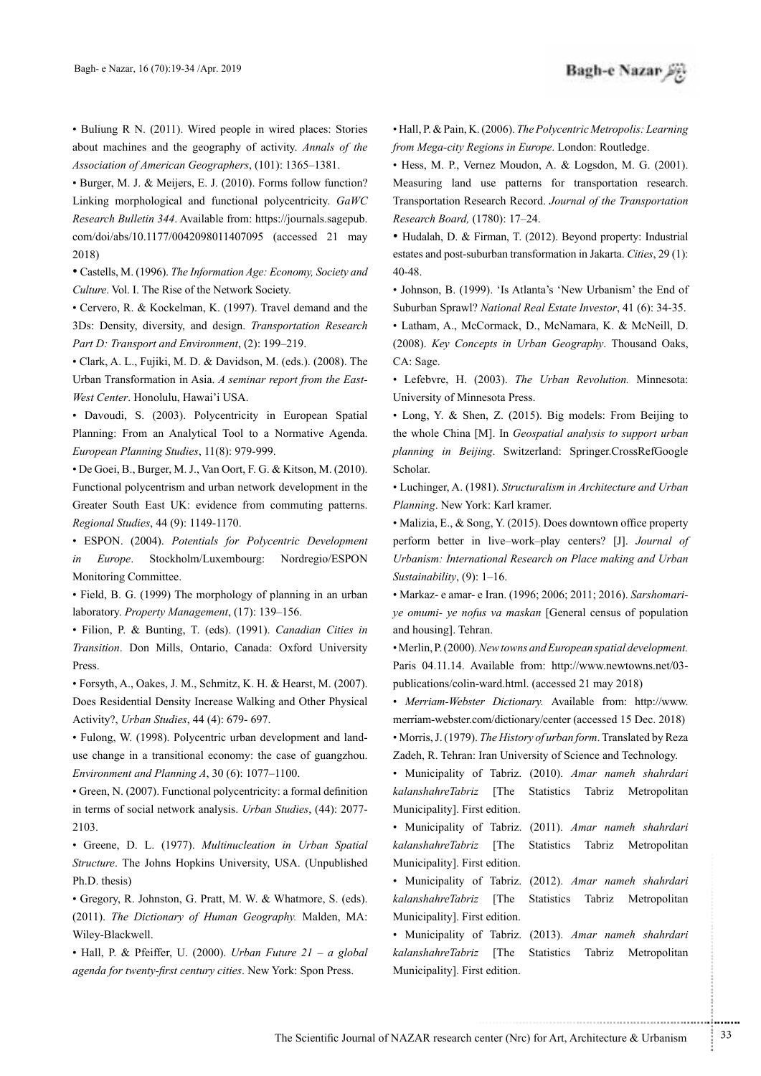• Buliung R N. (2011). Wired people in wired places: Stories about machines and the geography of activity. Annals of the Association of American Geographers, (101): 1365-1381.

• Burger, M. J. & Meijers, E. J. (2010). Forms follow function? Linking morphological and functional polycentricity. GaWC *Research Bulletin 344.* Available from: https://journals.sagepub. com/doi/abs/10.1177/0042098011407095 (accessed 21 may (2018

• Castells, M. (1996). The Information Age: Economy, Society and Culture. Vol. I. The Rise of the Network Society.

• Cervero, R. & Kockelman, K. (1997). Travel demand and the 3Ds: Density, diversity, and design. Transportation Research Part D: Transport and Environment, (2): 199-219.

 $\bullet$  Clark, A. L., Fujiki, M. D. & Davidson, M. (eds.). (2008). The Urban Transformation in Asia. *A seminar report from the East-West Center*. Honolulu, Hawai'i USA.

• Davoudi, S. (2003). Polycentricity in European Spatial Planning: From an Analytical Tool to a Normative Agenda. European Planning Studies, 11(8): 979-999.

 $\bullet$  De Goei, B., Burger, M. J., Van Oort, F. G. & Kitson, M. (2010). Functional polycentrism and urban network development in the Greater South East UK: evidence from commuting patterns. Regional Studies, 44 (9): 1149-1170.

• ESPON. (2004). Potentials for Polycentric Development in *Europe*. Stockholm/Luxembourg: Nordregio/ESPON Monitoring Committee.

 $\cdot$  Field, B. G. (1999) The morphology of planning in an urban laboratory. Property Management, (17): 139-156.

**·** Filion, P. & Bunting, T. (eds). (1991). Canadian Cities in Transition. Don Mills, Ontario, Canada: Oxford University .Press

• Forsyth, A., Oakes, J. M., Schmitz, K. H. & Hearst, M. (2007). Does Residential Density Increase Walking and Other Physical Activity?, *Urban Studies*, 44 (4): 679- 697.

use change in a transitional economy: the case of guangzhou. • Fulong, W. (1998). Polycentric urban development and land-*Environment and Planning A, 30 (6): 1077-1100.* 

 $\bullet$  Green, N. (2007). Functional polycentricity: a formal definition in terms of social network analysis. *Urban Studies*, (44): 2077-2103.

• Greene, D. L. (1977). Multinucleation in Urban Spatial Structure. The Johns Hopkins University, USA. (Unpublished Ph.D. thesis)

• Gregory, R. Johnston, G. Pratt, M. W. & Whatmore, S. (eds). (2011). The Dictionary of Human Geography. Malden, MA: Wiley-Blackwell.

• Hall, P. & Pfeiffer, U. (2000). *Urban Future 21 - a global* agenda for twenty-first century cities. New York: Spon Press.

 $\bullet$  Hall, P. & Pain, K. (2006). The Polycentric Metropolis: Learning from Mega-city Regions in Europe. London: Routledge.

• Hess. M. P., Vernez Moudon. A. & Logsdon. M. G. (2001). Measuring land use patterns for transportation research. **Transportation Research Record.** Journal of the Transportation Research Board. (1780): 17-24.

• Hudalah, D. & Firman, T. (2012). Beyond property: Industrial estates and post-suburban transformation in Jakarta. Cities, 29 (1): 40-48.

• Johnson, B. (1999). 'Is Atlanta's 'New Urbanism' the End of Suburban Sprawl? National Real Estate Investor, 41 (6): 34-35.

• Latham, A., McCormack, D., McNamara, K. & McNeill, D. (2008). Key Concepts in Urban Geography. Thousand Oaks, CA: Sage.

 $\cdot$  Lefebvre, H. (2003). *The Urban Revolution*. Minnesota: University of Minnesota Press.

• Long, Y. & Shen, Z. (2015). Big models: From Beijing to the whole China [M]. In *Geospatial analysis to support urban* planning in Beijing. Switzerland: Springer.CrossRefGoogle Scholar.

• Luchinger, A. (1981). Structuralism in Architecture and Urban Planning. New York: Karl kramer.

• Malizia, E., & Song, Y. (2015). Does downtown office property perform better in live-work-play centers? [J]. Journal of *Urbanism: International Research on Place making and Urban* Sustainability, (9): 1-16.

*ye omumi- ye nofus va maskan* [General census of population • Markaz- e amar- e Iran. (1996; 2006; 2011; 2016). Sarshomariand housing]. Tehran.

• Merlin, P. (2000). *New towns and European spatial development.* Paris 04.11.14. Available from: http://www.newtowns.net/03publications/colin-ward.html. (accessed 21 may 2018)

• Merriam-Webster Dictionary. Available from: http://www. merriam-webster.com/dictionary/center (accessed 15 Dec. 2018) • Morris, J. (1979). The History of urban form. Translated by Reza Zadeh, R. Tehran: Iran University of Science and Technology.

• Municipality of Tabriz. (2010). Amar nameh shahrdari kalanshahreTabriz [The Statistics Tabriz Metropolitan Municipality]. First edition.

Municipality]. First edition.

• Municipality of Tabriz. (2011). Amar nameh shahrdari kalanshahreTabriz [The Statistics Tabriz Metropolitan

Municipality]. First edition.

• Municipality of Tabriz. (2012). Amar nameh shahrdari kalanshahreTabriz [The Statistics Tabriz Metropolitan

• Municipality of Tabriz. (2013). Amar nameh shahrdari kalanshahreTabriz [The Statistics Tabriz Metropolitan Municipality]. First edition.

.......... ....... ........ ........... ...... ....... ........ .......... ...........